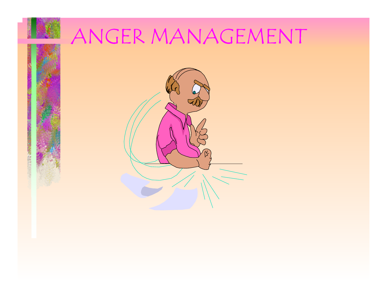

# ANGER MANAGEMENT

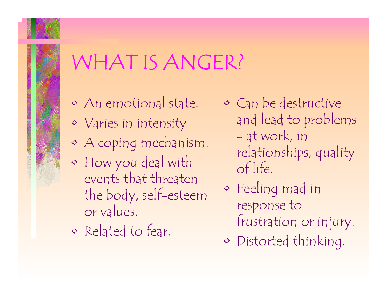

## WHAT IS ANGER?

- An emotional state.
- $\diamond$   $\hspace{0.1em}\textsf{V}$ aries in intensity
- $\bm\diamondsuit$ A coping mechanism.
- $\bm\diamondsuit$  How you deal with events that threaten the body, self-esteem or values.
- Related to fear.
- Can be destructive and lead to problems at work, in relationships, quality of life.
- $\bm\diamondsuit$  Feeling mad in response to frustration or injury.
- $\bm\diamondsuit$ Distorted thinking.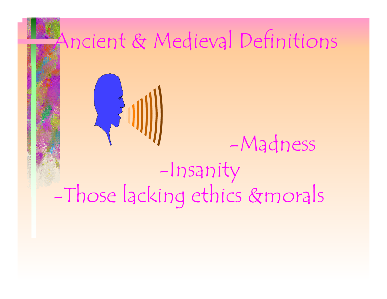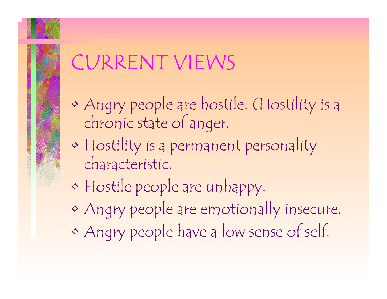

## CURRENT VIEWS

- $\bm\diamondsuit$  Angry people are hostile. (Hostility is a chronic state of anger.
- $\bm\diamondsuit$  Hostility is a permanent personality characteristic.
- $\bm\diamondsuit$ Hostile people are unhappy.
- $\bm\diamondsuit$ Angry people are emotionally insecure.
- $\bm\diamondsuit$ Angry people have a low sense of self.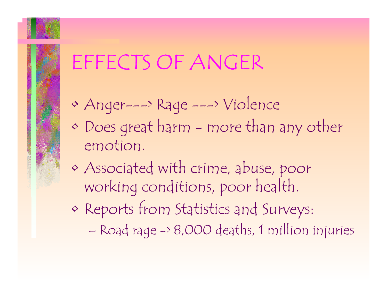### EFFECTS OF ANGER

- $\bm\diamondsuit$ Anger---> Rage ---> Violence
- $\bm\diamondsuit$  Does great harm - more than any other emotion.
- $\bm\diamondsuit$  Associated with crime, abuse, poor working conditions, poor health.
- $\bm\diamondsuit$  Reports from Statistics and Surveys:
	- –Road rage -> 8,000 deaths, 1 million injuries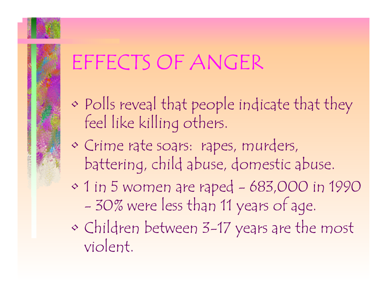## EFFECTS OF ANGER

- $\bm\diamondsuit$ Polls reveal that people indicate that they feel like killing others.
- Crime rate soars: rapes, murders, battering, child abuse, domestic abuse.
- 1 in 5 women are raped 683,000 in 1990 -30% were less than 11 years of age.
- $\bm\diamondsuit$  Children between 3-17 years are the most violent.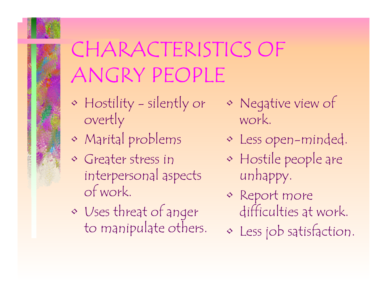

## CHARACTERISTICS OF ANGRY PEOPLE

- $\bm\diamondsuit$  Hostility - silently or overtly
- $\bm\diamondsuit$ Marital problems
- $\diamond$  Greater stress in interpersonal aspects of work.
- $\bm\diamondsuit$  Uses threat of anger to manipulate others.
- $\bm\diamondsuit$  Negative view of work.
	- Less open-minded.
	- $\bm\diamondsuit$  Hostile people are unhappy.
	- Report more difficulties at work.
- $\bm\diamondsuit$ Less job satisfaction.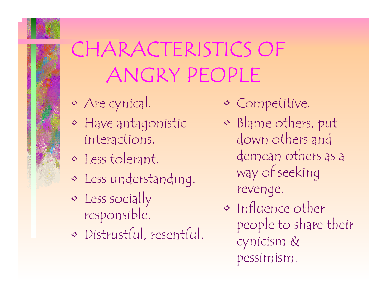# CHARACTERISTICS OF ANGRY PEOPLE

- $\bm\diamondsuit$ Are cynical.
- Have antagonistic interactions.
- Less tolerant.
- Less understanding.
- $\bm\diamondsuit$ Less socially responsible.
- Distrustful, resentful.
- Competitive.
- $\bm\diamondsuit$  Blame others, put down others and demean others as a way of seeking revenge.
- Influence other people to share their cynicism & pessimism.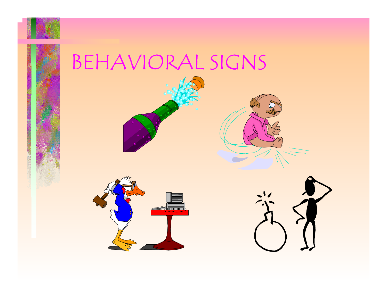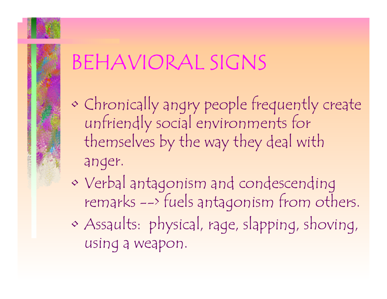## BEHAVIORAL SIGNS

- $\bm\diamondsuit$  Chronically angry people frequently create unfriendly social environments for themselves by the way they deal with anger.
- $\bm\diamondsuit$  Verbal antagonism and condescending remarks --> fuels antagonism from others.
- $\bm\diamondsuit$  Assaults: physical, rage, slapping, shoving, using a weapon.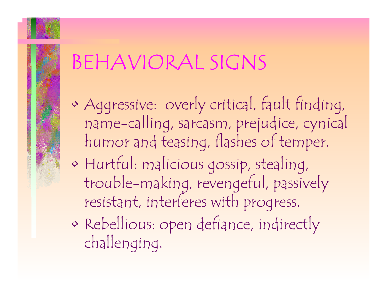## BEHAVIORAL SIGNS

- $\bm\diamondsuit$  Aggressive: overly critical, fault finding, name-calling, sarcasm, prejudice, cynical humor and teasing, flashes of temper.
- $\bm\diamondsuit$  Hurtful: malicious gossip, stealing, trouble-making, revengeful, passively resistant, interferes with progress.
- $\bm\diamondsuit$  Rebellious: open defiance, indirectly challenging.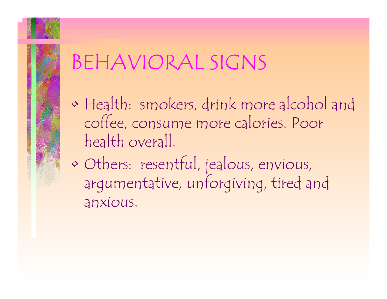## BEHAVIORAL SIGNS

- $\bm\diamondsuit$  Health: smokers, drink more alcohol and coffee, consume more calories. Poor health overall.
- $\bm\diamondsuit$  Others: resentful, jealous, envious, argumentative, unforgiving, tired and anxious.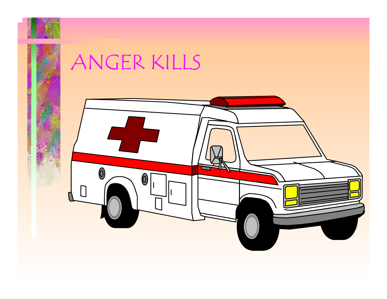

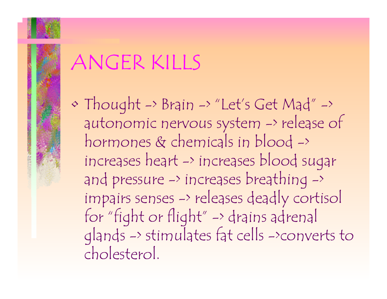$\bm\diamondsuit$  Thought -> Brain -> "Let's Get Mad" -> autonomic nervous system -> release of hormones & chemicals in blood -> increases heart -> increases blood sugar and pressure -> increases breathing -> impairs senses -> releases deadly cortisol for "fight or flight" -> drains adrenal <sup>g</sup>lands -> stimulates fat cells ->converts to cholesterol.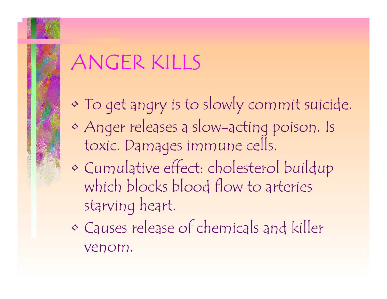- $\bm\diamondsuit$ To get angry is to slowly commit suicide.
- $\bm\diamondsuit$  Anger releases a slow-acting poison. Is toxic. Damages immune cells.
- $\bm\diamondsuit$  Cumulative effect: cholesterol buildup which blocks blood flow to arteries starving heart.
- $\bm\diamondsuit$  Causes release of chemicals and killer venom.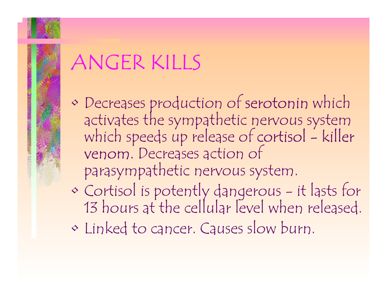- · Decreases production of serotonin which activates the sympathetic nervous system<br>which speeds up release of cortisol - killer venom. Decreases action of parasympathetic nervous system.
- $\bm\diamondsuit$ Cortisol is potently dangerous - it lasts for 13 hours at the cellular level when released.
- $\bm\diamondsuit$ Linked to cancer. Causes slow burn.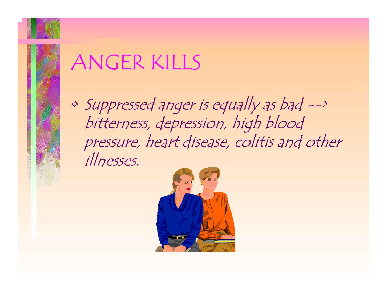

 $\bm\diamondsuit$  Suppressed anger is equally as bad --> bitterness, depression, high blood pressure, heart disease, colitis and other illnesses.

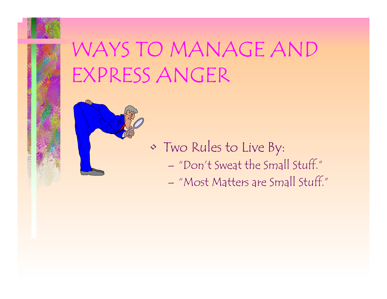

## WAYS TO MANAGE AND EXPRESS ANGER



- $\bm\diamondsuit$  Two Rules to Live By: – "Don't Sweat the Small Stuff."
	- "Most Matters are Small Stuff."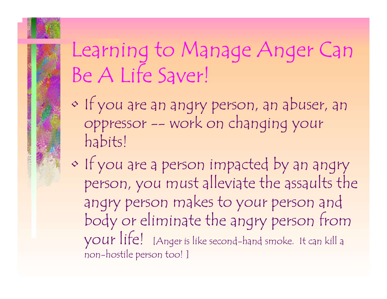## Learning to Manage Anger Can Be A Life Saver!

- $\bm\diamondsuit$  If you are an angry person, an abuser, an oppressor -- work on changing your habits!
- $\bm\diamondsuit$  If you are a person impacted by an angry person, you must alleviate the assaults the angry person makes to your person and body or eliminate the angry person from your life! [Anger is like second-hand smoke. It can kill a non-hostile person too! ]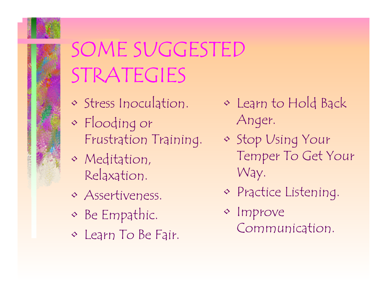

## SOME SUGGESTED STRATEGIES

- Stress Inoculation.
- $\bm\diamond$  Flooding or Frustration Training.
- Meditation, Relaxation.
- Assertiveness.
- $\bm\diamondsuit$ Be Empathic.
- Learn To Be Fair.
- Learn to Hold Back Anger.
- Stop Using Your Temper To Get Your Way.
- Practice Listening.
- Improve Communication.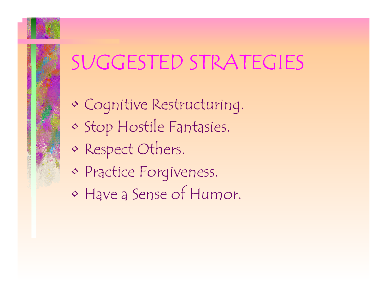## SUGGESTED STRATEGIES

- Cognitive Restructuring.
- $\bm\diamondsuit$ Stop Hostile Fantasies.
- $\bm\diamondsuit$ Respect Others.
- Practice Forgiveness.
- Have a Sense of Humor.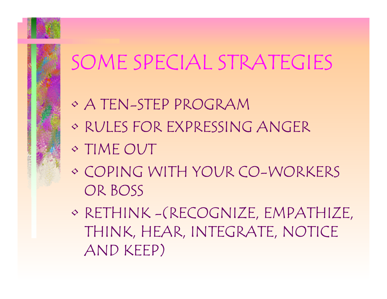## SOME SPECIAL STRATEGIES

- A TEN-STEP PROGRAM
- RULES FOR EXPRESSING ANGER
- TIME OUT
- COPING WITH YOUR CO-WORKERS OR BOSS
- RETHINK -(RECOGNIZE, EMPATHIZE, THINK, HEAR, INTEGRATE, NOTICE AND KEEP)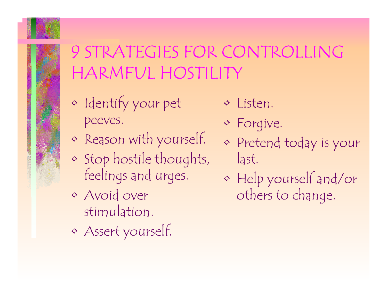

### 9 STRATEGIES FOR CONTROLLING HARMFUL HOSTILITY

- $\bm\diamondsuit$  Identify your pet peeves.
- $\bm\diamondsuit$ Reason with yourself.
- $\bm\diamondsuit$  Stop hostile thoughts, feelings and urges.
- Avoid over stimulation.
- $\bm\diamondsuit$ Assert yourself.
- Listen.
- Forgive.
- Pretend today is your last.
- $\bm\diamondsuit$  Help yourself and/or others to change.